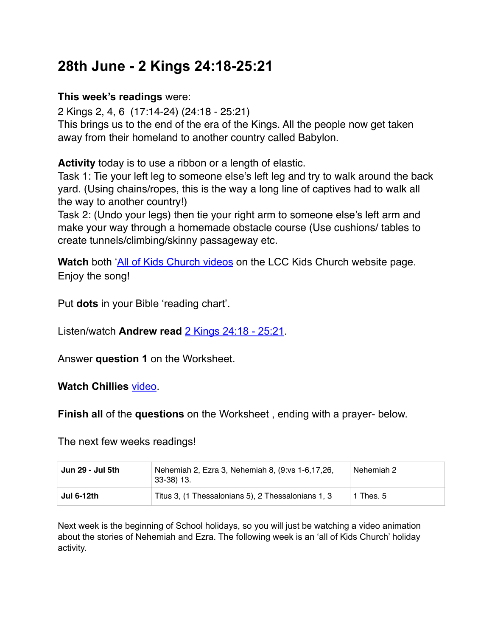# **28th June - 2 Kings 24:18-25:21**

#### **This week's readings** were:

2 Kings 2, 4, 6 (17:14-24) (24:18 - 25:21) This brings us to the end of the era of the Kings. All the people now get taken away from their homeland to another country called Babylon.

**Activity** today is to use a ribbon or a length of elastic.

Task 1: Tie your left leg to someone else's left leg and try to walk around the back yard. (Using chains/ropes, this is the way a long line of captives had to walk all the way to another country!)

Task 2: (Undo your legs) then tie your right arm to someone else's left arm and make your way through a homemade obstacle course (Use cushions/ tables to create tunnels/climbing/skinny passageway etc.

**Watch** both '[All of Kids Church videos](https://www.legana.org/kids/) on the LCC Kids Church website page. Enjoy the song!

Put **dots** in your Bible 'reading chart'.

Listen/watch **Andrew read** [2 Kings 24:18 - 25:21.](https://www.legana.org/kids/chillies/)

Answer **question 1** on the Worksheet.

#### **Watch Chillies** [video](https://www.legana.org/kids/chillies/).

**Finish all** of the **questions** on the Worksheet , ending with a prayer- below.

The next few weeks readings!

| ˈ Jun 29 - Jul 5th | Nehemiah 2, Ezra 3, Nehemiah 8, (9:vs 1-6,17,26,<br>$33-38$ ) 13. | Nehemiah 2 |
|--------------------|-------------------------------------------------------------------|------------|
| <b>Jul 6-12th</b>  | Titus 3, (1 Thessalonians 5), 2 Thessalonians 1, 3                | 1 Thes. 5  |

Next week is the beginning of School holidays, so you will just be watching a video animation about the stories of Nehemiah and Ezra. The following week is an 'all of Kids Church' holiday activity.